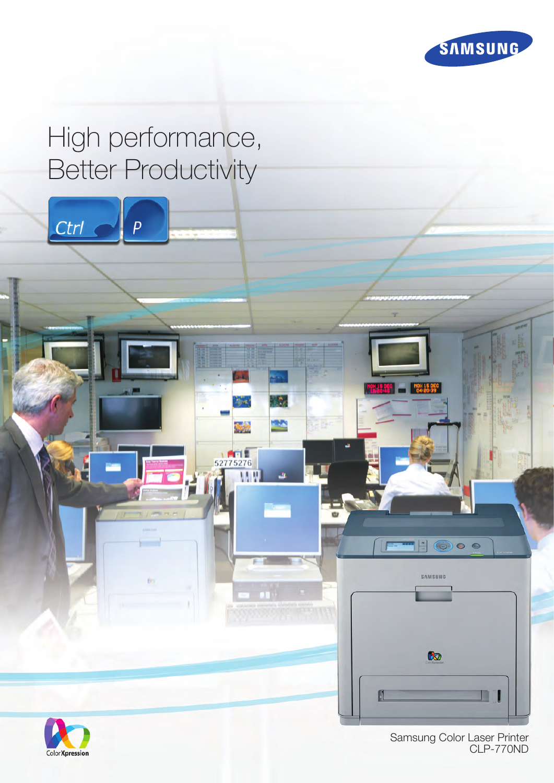

# High performance, Better Productivity





Samsung Color Laser Printer CLP-770ND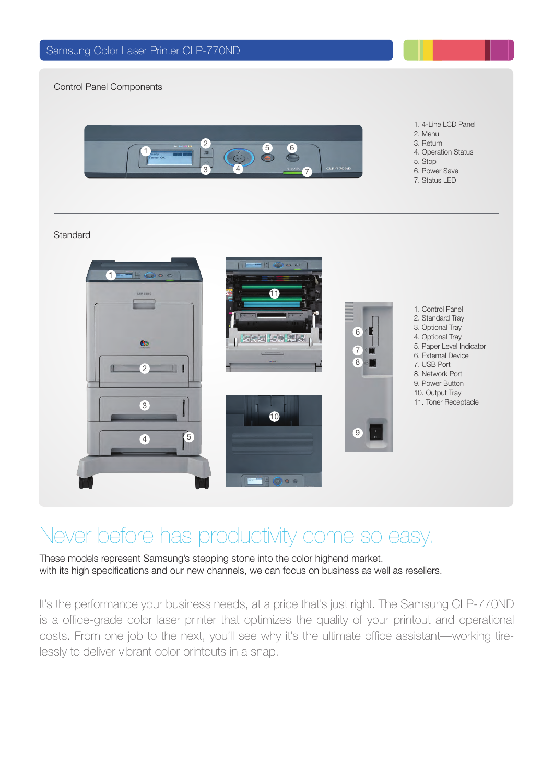Control Panel Components



- 1. 4-Line LCD Panel
- 2. Menu
- 3. Return
- 4. Operation Status
- 5. Stop
- 6. Power Save 7. Status LED

#### **Standard**



## Never before has productivity come so easy.

These models represent Samsung's stepping stone into the color highend market. with its high specifications and our new channels, we can focus on business as well as resellers.

It's the performance your business needs, at a price that's just right. The Samsung CLP-770ND is a office-grade color laser printer that optimizes the quality of your printout and operational costs. From one job to the next, you'll see why it's the ultimate office assistant—working tirelessly to deliver vibrant color printouts in a snap.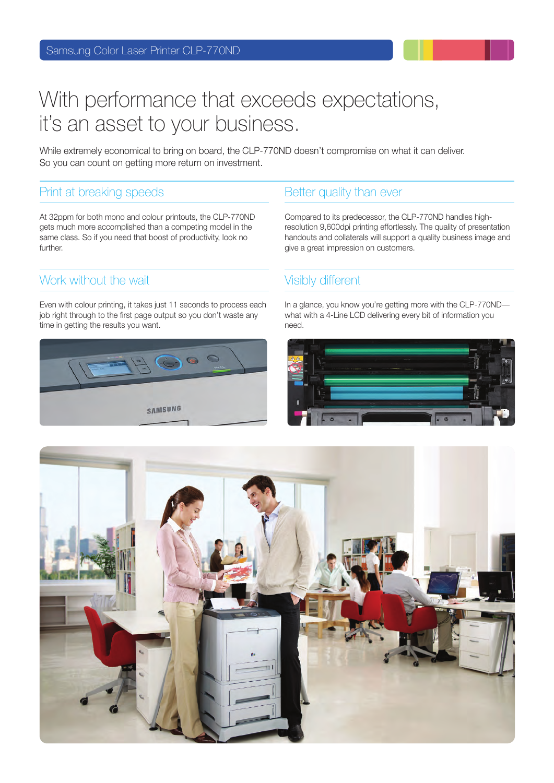## With performance that exceeds expectations, it's an asset to your business.

While extremely economical to bring on board, the CLP-770ND doesn't compromise on what it can deliver. So you can count on getting more return on investment.

### Print at breaking speeds Better quality than ever

At 32ppm for both mono and colour printouts, the CLP-770ND gets much more accomplished than a competing model in the same class. So if you need that boost of productivity, look no further.

### Work without the wait Visibly different

Even with colour printing, it takes just 11 seconds to process each job right through to the first page output so you don't waste any time in getting the results you want.



Compared to its predecessor, the CLP-770ND handles highresolution 9,600dpi printing effortlessly. The quality of presentation handouts and collaterals will support a quality business image and give a great impression on customers.

In a glance, you know you're getting more with the CLP-770ND what with a 4-Line LCD delivering every bit of information you need.



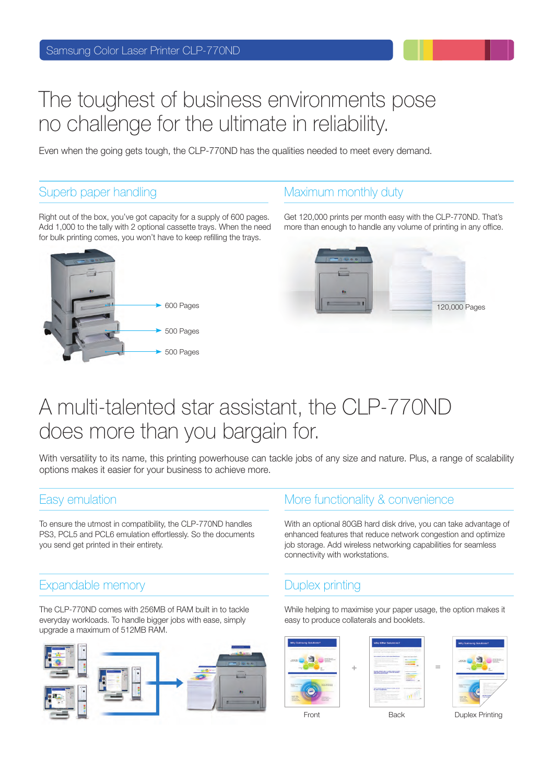## The toughest of business environments pose no challenge for the ultimate in reliability.

Even when the going gets tough, the CLP-770ND has the qualities needed to meet every demand.

### Superb paper handling Maximum monthly duty

Right out of the box, you've got capacity for a supply of 600 pages. Add 1,000 to the tally with 2 optional cassette trays. When the need for bulk printing comes, you won't have to keep refilling the trays.



Get 120,000 prints per month easy with the CLP-770ND. That's more than enough to handle any volume of printing in any office.



## A multi-talented star assistant, the CLP-770ND does more than you bargain for.

With versatility to its name, this printing powerhouse can tackle jobs of any size and nature. Plus, a range of scalability options makes it easier for your business to achieve more.

To ensure the utmost in compatibility, the CLP-770ND handles PS3, PCL5 and PCL6 emulation effortlessly. So the documents you send get printed in their entirety.

### Expandable memory and a series of Duplex printing

The CLP-770ND comes with 256MB of RAM built in to tackle everyday workloads. To handle bigger jobs with ease, simply upgrade a maximum of 512MB RAM.



### Easy emulation **Easy emulation More functionality & convenience**

With an optional 80GB hard disk drive, you can take advantage of enhanced features that reduce network congestion and optimize job storage. Add wireless networking capabilities for seamless connectivity with workstations.

While helping to maximise your paper usage, the option makes it easy to produce collaterals and booklets.







Front Back Duplex Printing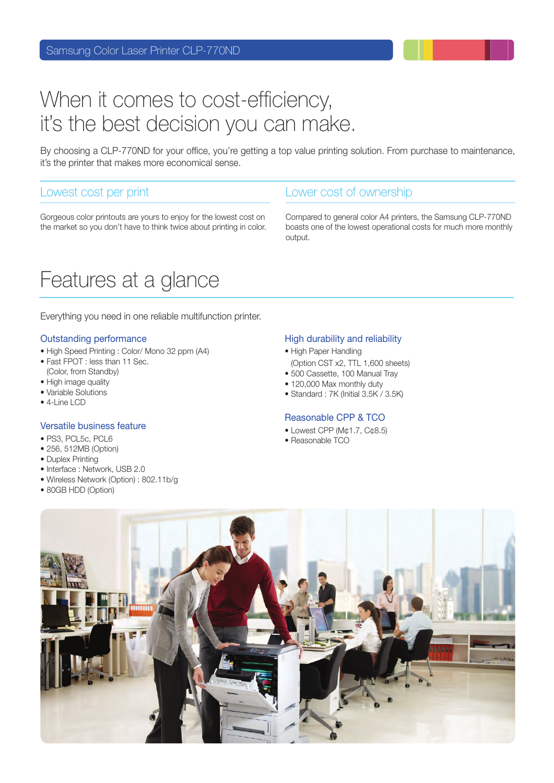## When it comes to cost-efficiency, it's the best decision you can make.

By choosing a CLP-770ND for your office, you're getting a top value printing solution. From purchase to maintenance, it's the printer that makes more economical sense.

#### Lowest cost per print Lower cost of ownership

Gorgeous color printouts are yours to enjoy for the lowest cost on the market so you don't have to think twice about printing in color.

## Features at a glance

Everything you need in one reliable multifunction printer.

#### Outstanding performance

- High Speed Printing : Color/ Mono 32 ppm (A4)
- Fast FPOT : less than 11 Sec. (Color, from Standby)
- High image quality
- Variable Solutions
- 4-Line LCD

#### Versatile business feature

- PS3, PCL5c, PCL6
- 256, 512MB (Option)
- Duplex Printing
- Interface : Network, USB 2.0
- Wireless Network (Option) : 802.11b/g
- 80GB HDD (Option)

Compared to general color A4 printers, the Samsung CLP-770ND boasts one of the lowest operational costs for much more monthly output.

#### High durability and reliability

- High Paper Handling
- (Option CST x2, TTL 1,600 sheets) • 500 Cassette, 100 Manual Tray
- 120,000 Max monthly duty
- Standard : 7K (Initial 3.5K / 3.5K)

#### Reasonable CPP & TCO

- Lowest CPP (M¢1.7, C¢8.5)
- Reasonable TCO